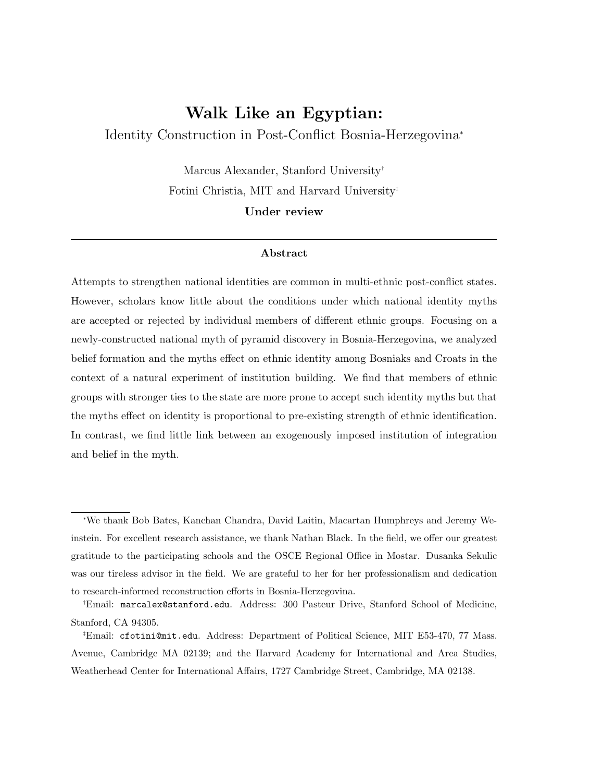# Walk Like an Egyptian: Identity Construction in Post-Conflict Bosnia-Herzegovina ∗

Marcus Alexander, Stanford University† Fotini Christia, MIT and Harvard University‡ Under review

#### Abstract

Attempts to strengthen national identities are common in multi-ethnic post-conflict states. However, scholars know little about the conditions under which national identity myths are accepted or rejected by individual members of different ethnic groups. Focusing on a newly-constructed national myth of pyramid discovery in Bosnia-Herzegovina, we analyzed belief formation and the myths effect on ethnic identity among Bosniaks and Croats in the context of a natural experiment of institution building. We find that members of ethnic groups with stronger ties to the state are more prone to accept such identity myths but that the myths effect on identity is proportional to pre-existing strength of ethnic identification. In contrast, we find little link between an exogenously imposed institution of integration and belief in the myth.

<sup>∗</sup>We thank Bob Bates, Kanchan Chandra, David Laitin, Macartan Humphreys and Jeremy Weinstein. For excellent research assistance, we thank Nathan Black. In the field, we offer our greatest gratitude to the participating schools and the OSCE Regional Office in Mostar. Dusanka Sekulic was our tireless advisor in the field. We are grateful to her for her professionalism and dedication to research-informed reconstruction efforts in Bosnia-Herzegovina.

<sup>†</sup>Email: marcalex@stanford.edu. Address: 300 Pasteur Drive, Stanford School of Medicine, Stanford, CA 94305.

<sup>‡</sup>Email: cfotini@mit.edu. Address: Department of Political Science, MIT E53-470, 77 Mass. Avenue, Cambridge MA 02139; and the Harvard Academy for International and Area Studies, Weatherhead Center for International Affairs, 1727 Cambridge Street, Cambridge, MA 02138.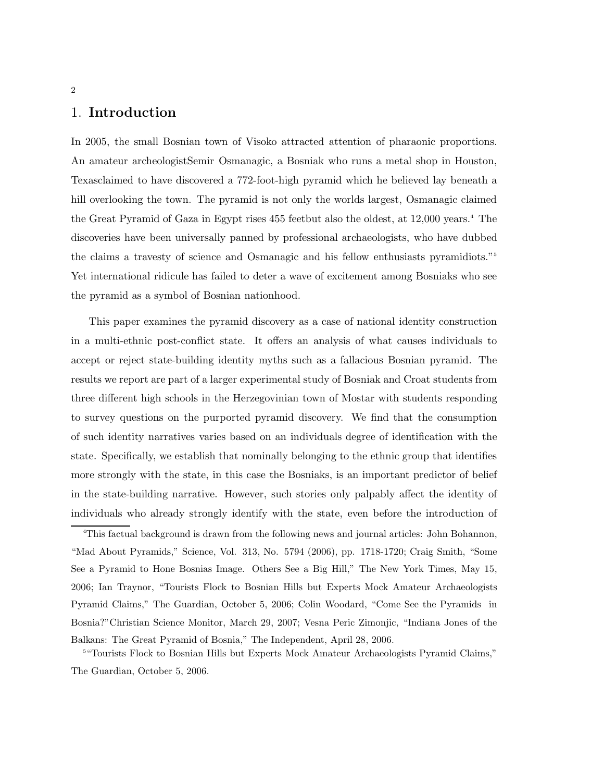# 1. Introduction

In 2005, the small Bosnian town of Visoko attracted attention of pharaonic proportions. An amateur archeologistSemir Osmanagic, a Bosniak who runs a metal shop in Houston, Texasclaimed to have discovered a 772-foot-high pyramid which he believed lay beneath a hill overlooking the town. The pyramid is not only the worlds largest, Osmanagic claimed the Great Pyramid of Gaza in Egypt rises 455 feetbut also the oldest, at 12,000 years.<sup>4</sup> The discoveries have been universally panned by professional archaeologists, who have dubbed the claims a travesty of science and Osmanagic and his fellow enthusiasts pyramidiots."<sup>5</sup> Yet international ridicule has failed to deter a wave of excitement among Bosniaks who see the pyramid as a symbol of Bosnian nationhood.

This paper examines the pyramid discovery as a case of national identity construction in a multi-ethnic post-conflict state. It offers an analysis of what causes individuals to accept or reject state-building identity myths such as a fallacious Bosnian pyramid. The results we report are part of a larger experimental study of Bosniak and Croat students from three different high schools in the Herzegovinian town of Mostar with students responding to survey questions on the purported pyramid discovery. We find that the consumption of such identity narratives varies based on an individuals degree of identification with the state. Specifically, we establish that nominally belonging to the ethnic group that identifies more strongly with the state, in this case the Bosniaks, is an important predictor of belief in the state-building narrative. However, such stories only palpably affect the identity of individuals who already strongly identify with the state, even before the introduction of

<sup>4</sup>This factual background is drawn from the following news and journal articles: John Bohannon, "Mad About Pyramids," Science, Vol. 313, No. 5794 (2006), pp. 1718-1720; Craig Smith, "Some See a Pyramid to Hone Bosnias Image. Others See a Big Hill," The New York Times, May 15, 2006; Ian Traynor, "Tourists Flock to Bosnian Hills but Experts Mock Amateur Archaeologists Pyramid Claims," The Guardian, October 5, 2006; Colin Woodard, "Come See the Pyramids in Bosnia?"Christian Science Monitor, March 29, 2007; Vesna Peric Zimonjic, "Indiana Jones of the Balkans: The Great Pyramid of Bosnia," The Independent, April 28, 2006.

<sup>&</sup>lt;sup>5</sup>"Tourists Flock to Bosnian Hills but Experts Mock Amateur Archaeologists Pyramid Claims," The Guardian, October 5, 2006.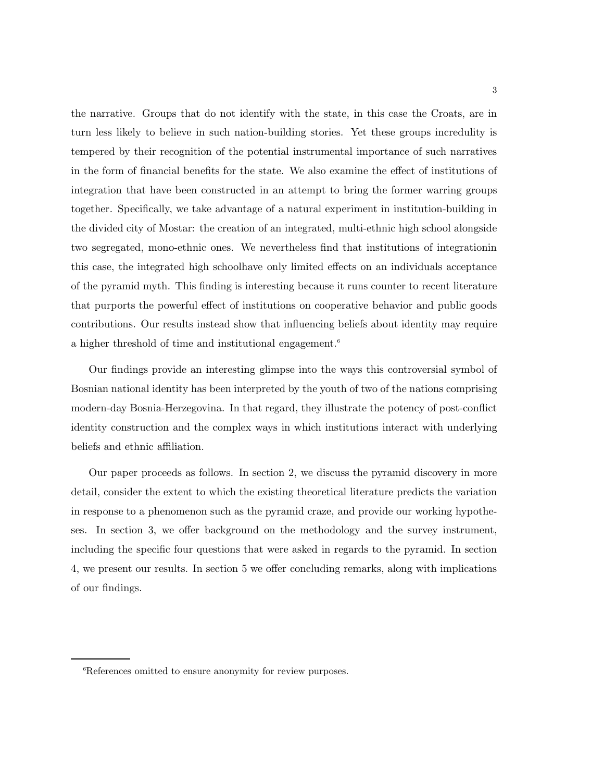the narrative. Groups that do not identify with the state, in this case the Croats, are in turn less likely to believe in such nation-building stories. Yet these groups incredulity is tempered by their recognition of the potential instrumental importance of such narratives in the form of financial benefits for the state. We also examine the effect of institutions of integration that have been constructed in an attempt to bring the former warring groups together. Specifically, we take advantage of a natural experiment in institution-building in the divided city of Mostar: the creation of an integrated, multi-ethnic high school alongside two segregated, mono-ethnic ones. We nevertheless find that institutions of integrationin this case, the integrated high schoolhave only limited effects on an individuals acceptance of the pyramid myth. This finding is interesting because it runs counter to recent literature that purports the powerful effect of institutions on cooperative behavior and public goods contributions. Our results instead show that influencing beliefs about identity may require a higher threshold of time and institutional engagement.<sup>6</sup>

Our findings provide an interesting glimpse into the ways this controversial symbol of Bosnian national identity has been interpreted by the youth of two of the nations comprising modern-day Bosnia-Herzegovina. In that regard, they illustrate the potency of post-conflict identity construction and the complex ways in which institutions interact with underlying beliefs and ethnic affiliation.

Our paper proceeds as follows. In section 2, we discuss the pyramid discovery in more detail, consider the extent to which the existing theoretical literature predicts the variation in response to a phenomenon such as the pyramid craze, and provide our working hypotheses. In section 3, we offer background on the methodology and the survey instrument, including the specific four questions that were asked in regards to the pyramid. In section 4, we present our results. In section 5 we offer concluding remarks, along with implications of our findings.

<sup>&</sup>lt;sup>6</sup>References omitted to ensure anonymity for review purposes.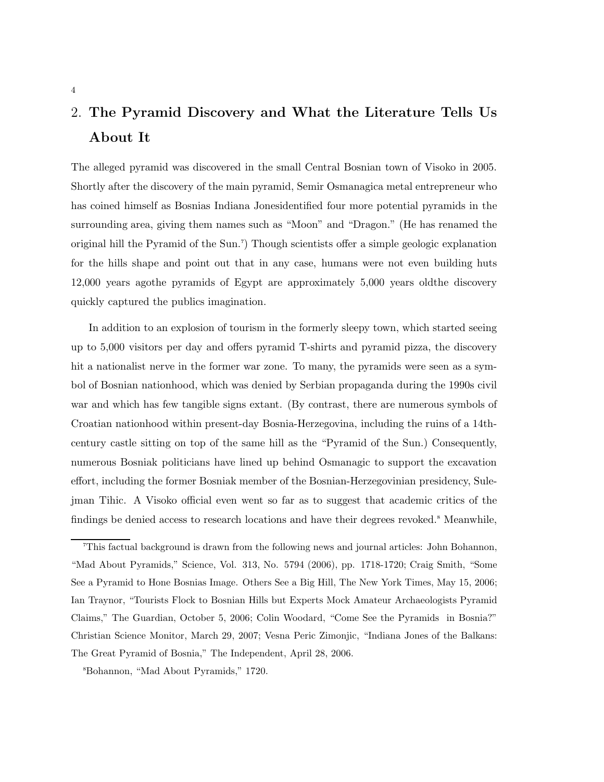# 2. The Pyramid Discovery and What the Literature Tells Us About It

The alleged pyramid was discovered in the small Central Bosnian town of Visoko in 2005. Shortly after the discovery of the main pyramid, Semir Osmanagica metal entrepreneur who has coined himself as Bosnias Indiana Jonesidentified four more potential pyramids in the surrounding area, giving them names such as "Moon" and "Dragon." (He has renamed the original hill the Pyramid of the Sun.<sup>7</sup> ) Though scientists offer a simple geologic explanation for the hills shape and point out that in any case, humans were not even building huts 12,000 years agothe pyramids of Egypt are approximately 5,000 years oldthe discovery quickly captured the publics imagination.

In addition to an explosion of tourism in the formerly sleepy town, which started seeing up to 5,000 visitors per day and offers pyramid T-shirts and pyramid pizza, the discovery hit a nationalist nerve in the former war zone. To many, the pyramids were seen as a symbol of Bosnian nationhood, which was denied by Serbian propaganda during the 1990s civil war and which has few tangible signs extant. (By contrast, there are numerous symbols of Croatian nationhood within present-day Bosnia-Herzegovina, including the ruins of a 14thcentury castle sitting on top of the same hill as the "Pyramid of the Sun.) Consequently, numerous Bosniak politicians have lined up behind Osmanagic to support the excavation effort, including the former Bosniak member of the Bosnian-Herzegovinian presidency, Sulejman Tihic. A Visoko official even went so far as to suggest that academic critics of the findings be denied access to research locations and have their degrees revoked.<sup>8</sup> Meanwhile,

<sup>7</sup>This factual background is drawn from the following news and journal articles: John Bohannon, "Mad About Pyramids," Science, Vol. 313, No. 5794 (2006), pp. 1718-1720; Craig Smith, "Some See a Pyramid to Hone Bosnias Image. Others See a Big Hill, The New York Times, May 15, 2006; Ian Traynor, "Tourists Flock to Bosnian Hills but Experts Mock Amateur Archaeologists Pyramid Claims," The Guardian, October 5, 2006; Colin Woodard, "Come See the Pyramids in Bosnia?" Christian Science Monitor, March 29, 2007; Vesna Peric Zimonjic, "Indiana Jones of the Balkans: The Great Pyramid of Bosnia," The Independent, April 28, 2006.

<sup>8</sup>Bohannon, "Mad About Pyramids," 1720.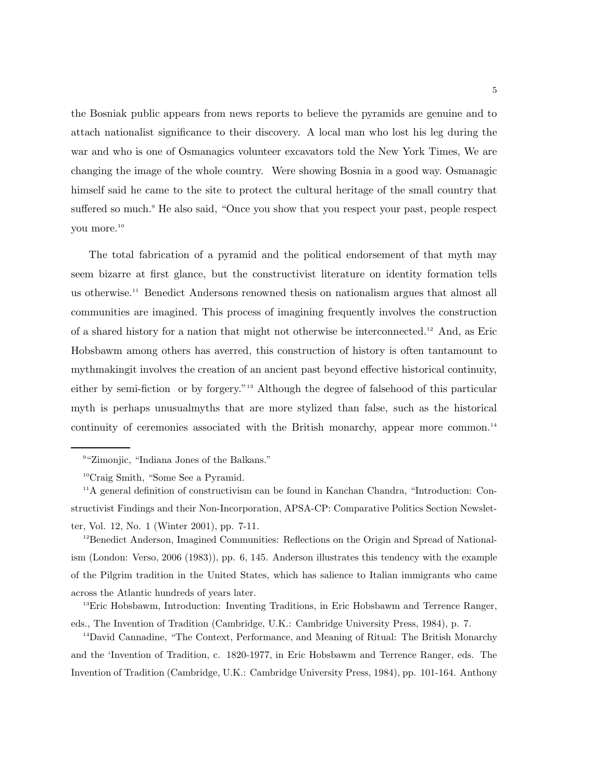the Bosniak public appears from news reports to believe the pyramids are genuine and to attach nationalist significance to their discovery. A local man who lost his leg during the war and who is one of Osmanagics volunteer excavators told the New York Times, We are changing the image of the whole country. Were showing Bosnia in a good way. Osmanagic himself said he came to the site to protect the cultural heritage of the small country that suffered so much.<sup>9</sup> He also said, "Once you show that you respect your past, people respect you more.<sup>10</sup>

The total fabrication of a pyramid and the political endorsement of that myth may seem bizarre at first glance, but the constructivist literature on identity formation tells us otherwise.<sup>11</sup> Benedict Andersons renowned thesis on nationalism argues that almost all communities are imagined. This process of imagining frequently involves the construction of a shared history for a nation that might not otherwise be interconnected.<sup>12</sup> And, as Eric Hobsbawm among others has averred, this construction of history is often tantamount to mythmakingit involves the creation of an ancient past beyond effective historical continuity, either by semi-fiction or by forgery."<sup>13</sup> Although the degree of falsehood of this particular myth is perhaps unusualmyths that are more stylized than false, such as the historical continuity of ceremonies associated with the British monarchy, appear more common.<sup>14</sup>

<sup>12</sup>Benedict Anderson, Imagined Communities: Reflections on the Origin and Spread of Nationalism (London: Verso, 2006 (1983)), pp. 6, 145. Anderson illustrates this tendency with the example of the Pilgrim tradition in the United States, which has salience to Italian immigrants who came across the Atlantic hundreds of years later.

<sup>13</sup>Eric Hobsbawm, Introduction: Inventing Traditions, in Eric Hobsbawm and Terrence Ranger, eds., The Invention of Tradition (Cambridge, U.K.: Cambridge University Press, 1984), p. 7.

<sup>14</sup>David Cannadine, "The Context, Performance, and Meaning of Ritual: The British Monarchy and the 'Invention of Tradition, c. 1820-1977, in Eric Hobsbawm and Terrence Ranger, eds. The Invention of Tradition (Cambridge, U.K.: Cambridge University Press, 1984), pp. 101-164. Anthony

<sup>9</sup> "Zimonjic, "Indiana Jones of the Balkans."

<sup>10</sup>Craig Smith, "Some See a Pyramid.

<sup>11</sup>A general definition of constructivism can be found in Kanchan Chandra, "Introduction: Constructivist Findings and their Non-Incorporation, APSA-CP: Comparative Politics Section Newsletter, Vol. 12, No. 1 (Winter 2001), pp. 7-11.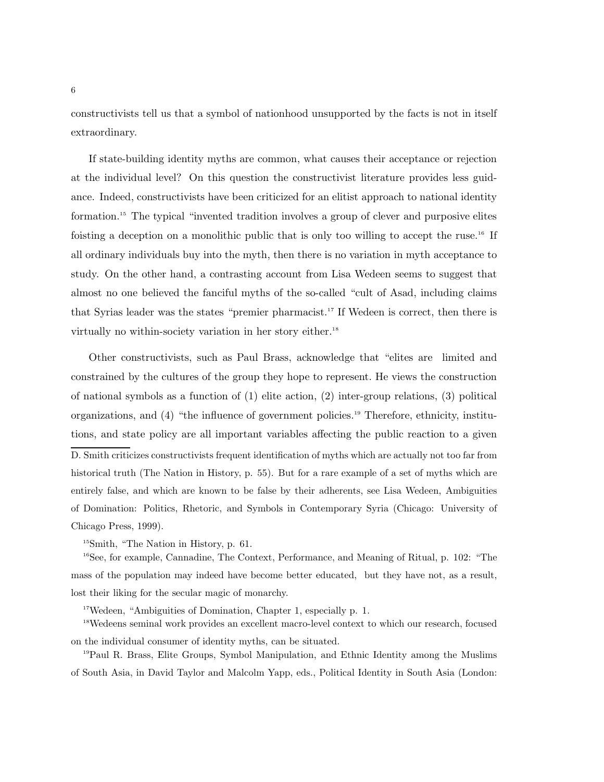constructivists tell us that a symbol of nationhood unsupported by the facts is not in itself extraordinary.

If state-building identity myths are common, what causes their acceptance or rejection at the individual level? On this question the constructivist literature provides less guidance. Indeed, constructivists have been criticized for an elitist approach to national identity formation.<sup>15</sup> The typical "invented tradition involves a group of clever and purposive elites foisting a deception on a monolithic public that is only too willing to accept the ruse.<sup>16</sup> If all ordinary individuals buy into the myth, then there is no variation in myth acceptance to study. On the other hand, a contrasting account from Lisa Wedeen seems to suggest that almost no one believed the fanciful myths of the so-called "cult of Asad, including claims that Syrias leader was the states "premier pharmacist.<sup>17</sup> If Wedeen is correct, then there is virtually no within-society variation in her story either.<sup>18</sup>

Other constructivists, such as Paul Brass, acknowledge that "elites are limited and constrained by the cultures of the group they hope to represent. He views the construction of national symbols as a function of (1) elite action, (2) inter-group relations, (3) political organizations, and (4) "the influence of government policies.<sup>19</sup> Therefore, ethnicity, institutions, and state policy are all important variables affecting the public reaction to a given D. Smith criticizes constructivists frequent identification of myths which are actually not too far from historical truth (The Nation in History, p. 55). But for a rare example of a set of myths which are entirely false, and which are known to be false by their adherents, see Lisa Wedeen, Ambiguities of Domination: Politics, Rhetoric, and Symbols in Contemporary Syria (Chicago: University of Chicago Press, 1999).

<sup>15</sup>Smith, "The Nation in History, p. 61.

<sup>16</sup>See, for example, Cannadine, The Context, Performance, and Meaning of Ritual, p. 102: "The mass of the population may indeed have become better educated, but they have not, as a result, lost their liking for the secular magic of monarchy.

<sup>17</sup>Wedeen, "Ambiguities of Domination, Chapter 1, especially p. 1.

<sup>18</sup>Wedeens seminal work provides an excellent macro-level context to which our research, focused on the individual consumer of identity myths, can be situated.

<sup>19</sup>Paul R. Brass, Elite Groups, Symbol Manipulation, and Ethnic Identity among the Muslims of South Asia, in David Taylor and Malcolm Yapp, eds., Political Identity in South Asia (London: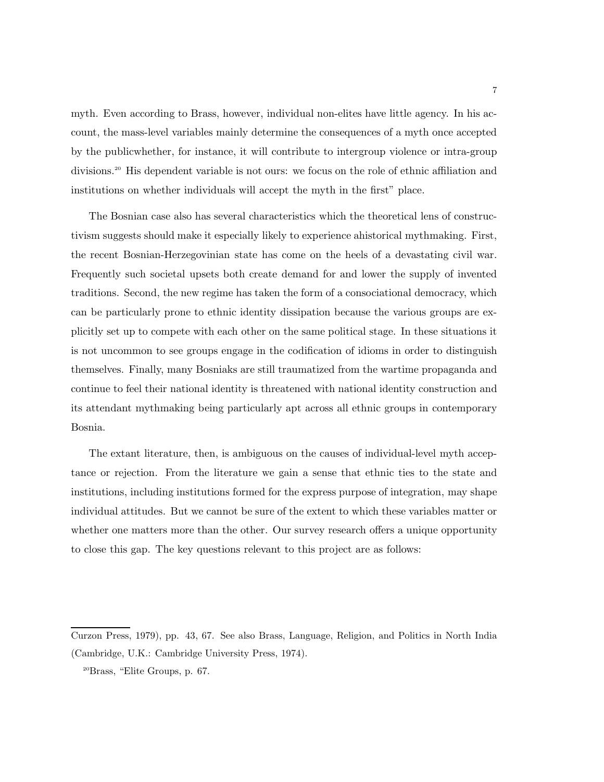myth. Even according to Brass, however, individual non-elites have little agency. In his account, the mass-level variables mainly determine the consequences of a myth once accepted by the publicwhether, for instance, it will contribute to intergroup violence or intra-group divisions.<sup>20</sup> His dependent variable is not ours: we focus on the role of ethnic affiliation and institutions on whether individuals will accept the myth in the first" place.

The Bosnian case also has several characteristics which the theoretical lens of constructivism suggests should make it especially likely to experience ahistorical mythmaking. First, the recent Bosnian-Herzegovinian state has come on the heels of a devastating civil war. Frequently such societal upsets both create demand for and lower the supply of invented traditions. Second, the new regime has taken the form of a consociational democracy, which can be particularly prone to ethnic identity dissipation because the various groups are explicitly set up to compete with each other on the same political stage. In these situations it is not uncommon to see groups engage in the codification of idioms in order to distinguish themselves. Finally, many Bosniaks are still traumatized from the wartime propaganda and continue to feel their national identity is threatened with national identity construction and its attendant mythmaking being particularly apt across all ethnic groups in contemporary Bosnia.

The extant literature, then, is ambiguous on the causes of individual-level myth acceptance or rejection. From the literature we gain a sense that ethnic ties to the state and institutions, including institutions formed for the express purpose of integration, may shape individual attitudes. But we cannot be sure of the extent to which these variables matter or whether one matters more than the other. Our survey research offers a unique opportunity to close this gap. The key questions relevant to this project are as follows:

Curzon Press, 1979), pp. 43, 67. See also Brass, Language, Religion, and Politics in North India (Cambridge, U.K.: Cambridge University Press, 1974).

<sup>20</sup>Brass, "Elite Groups, p. 67.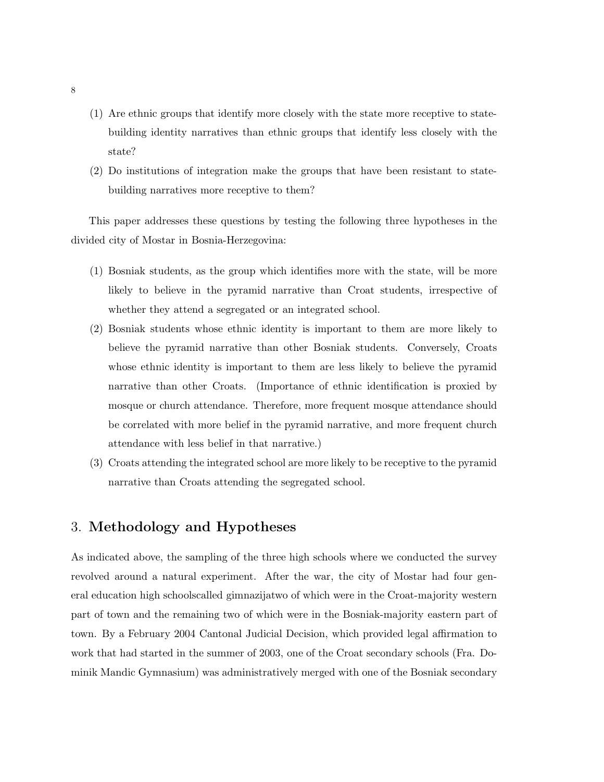- (1) Are ethnic groups that identify more closely with the state more receptive to statebuilding identity narratives than ethnic groups that identify less closely with the state?
- (2) Do institutions of integration make the groups that have been resistant to statebuilding narratives more receptive to them?

This paper addresses these questions by testing the following three hypotheses in the divided city of Mostar in Bosnia-Herzegovina:

- (1) Bosniak students, as the group which identifies more with the state, will be more likely to believe in the pyramid narrative than Croat students, irrespective of whether they attend a segregated or an integrated school.
- (2) Bosniak students whose ethnic identity is important to them are more likely to believe the pyramid narrative than other Bosniak students. Conversely, Croats whose ethnic identity is important to them are less likely to believe the pyramid narrative than other Croats. (Importance of ethnic identification is proxied by mosque or church attendance. Therefore, more frequent mosque attendance should be correlated with more belief in the pyramid narrative, and more frequent church attendance with less belief in that narrative.)
- (3) Croats attending the integrated school are more likely to be receptive to the pyramid narrative than Croats attending the segregated school.

# 3. Methodology and Hypotheses

As indicated above, the sampling of the three high schools where we conducted the survey revolved around a natural experiment. After the war, the city of Mostar had four general education high schoolscalled gimnazijatwo of which were in the Croat-majority western part of town and the remaining two of which were in the Bosniak-majority eastern part of town. By a February 2004 Cantonal Judicial Decision, which provided legal affirmation to work that had started in the summer of 2003, one of the Croat secondary schools (Fra. Dominik Mandic Gymnasium) was administratively merged with one of the Bosniak secondary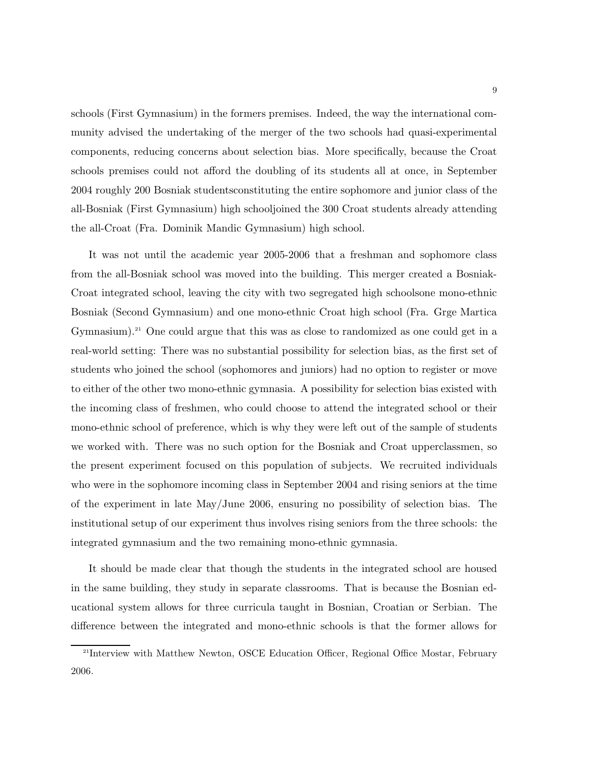schools (First Gymnasium) in the formers premises. Indeed, the way the international community advised the undertaking of the merger of the two schools had quasi-experimental components, reducing concerns about selection bias. More specifically, because the Croat schools premises could not afford the doubling of its students all at once, in September 2004 roughly 200 Bosniak studentsconstituting the entire sophomore and junior class of the all-Bosniak (First Gymnasium) high schooljoined the 300 Croat students already attending the all-Croat (Fra. Dominik Mandic Gymnasium) high school.

It was not until the academic year 2005-2006 that a freshman and sophomore class from the all-Bosniak school was moved into the building. This merger created a Bosniak-Croat integrated school, leaving the city with two segregated high schoolsone mono-ethnic Bosniak (Second Gymnasium) and one mono-ethnic Croat high school (Fra. Grge Martica Gymnasium).<sup>21</sup> One could argue that this was as close to randomized as one could get in a real-world setting: There was no substantial possibility for selection bias, as the first set of students who joined the school (sophomores and juniors) had no option to register or move to either of the other two mono-ethnic gymnasia. A possibility for selection bias existed with the incoming class of freshmen, who could choose to attend the integrated school or their mono-ethnic school of preference, which is why they were left out of the sample of students we worked with. There was no such option for the Bosniak and Croat upperclassmen, so the present experiment focused on this population of subjects. We recruited individuals who were in the sophomore incoming class in September 2004 and rising seniors at the time of the experiment in late May/June 2006, ensuring no possibility of selection bias. The institutional setup of our experiment thus involves rising seniors from the three schools: the integrated gymnasium and the two remaining mono-ethnic gymnasia.

It should be made clear that though the students in the integrated school are housed in the same building, they study in separate classrooms. That is because the Bosnian educational system allows for three curricula taught in Bosnian, Croatian or Serbian. The difference between the integrated and mono-ethnic schools is that the former allows for

<sup>&</sup>lt;sup>21</sup>Interview with Matthew Newton, OSCE Education Officer, Regional Office Mostar, February 2006.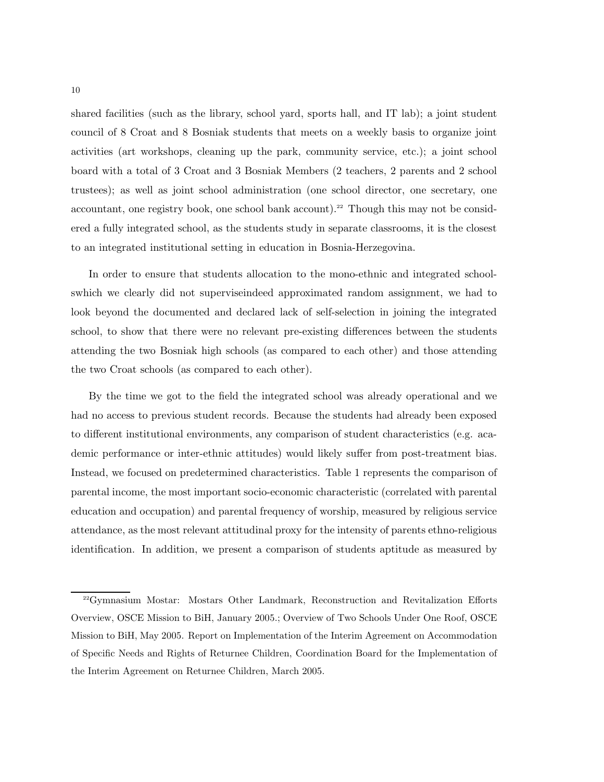shared facilities (such as the library, school yard, sports hall, and IT lab); a joint student council of 8 Croat and 8 Bosniak students that meets on a weekly basis to organize joint activities (art workshops, cleaning up the park, community service, etc.); a joint school board with a total of 3 Croat and 3 Bosniak Members (2 teachers, 2 parents and 2 school trustees); as well as joint school administration (one school director, one secretary, one accountant, one registry book, one school bank account).<sup>22</sup> Though this may not be considered a fully integrated school, as the students study in separate classrooms, it is the closest to an integrated institutional setting in education in Bosnia-Herzegovina.

In order to ensure that students allocation to the mono-ethnic and integrated schoolswhich we clearly did not superviseindeed approximated random assignment, we had to look beyond the documented and declared lack of self-selection in joining the integrated school, to show that there were no relevant pre-existing differences between the students attending the two Bosniak high schools (as compared to each other) and those attending the two Croat schools (as compared to each other).

By the time we got to the field the integrated school was already operational and we had no access to previous student records. Because the students had already been exposed to different institutional environments, any comparison of student characteristics (e.g. academic performance or inter-ethnic attitudes) would likely suffer from post-treatment bias. Instead, we focused on predetermined characteristics. Table 1 represents the comparison of parental income, the most important socio-economic characteristic (correlated with parental education and occupation) and parental frequency of worship, measured by religious service attendance, as the most relevant attitudinal proxy for the intensity of parents ethno-religious identification. In addition, we present a comparison of students aptitude as measured by

<sup>22</sup>Gymnasium Mostar: Mostars Other Landmark, Reconstruction and Revitalization Efforts Overview, OSCE Mission to BiH, January 2005.; Overview of Two Schools Under One Roof, OSCE Mission to BiH, May 2005. Report on Implementation of the Interim Agreement on Accommodation of Specific Needs and Rights of Returnee Children, Coordination Board for the Implementation of the Interim Agreement on Returnee Children, March 2005.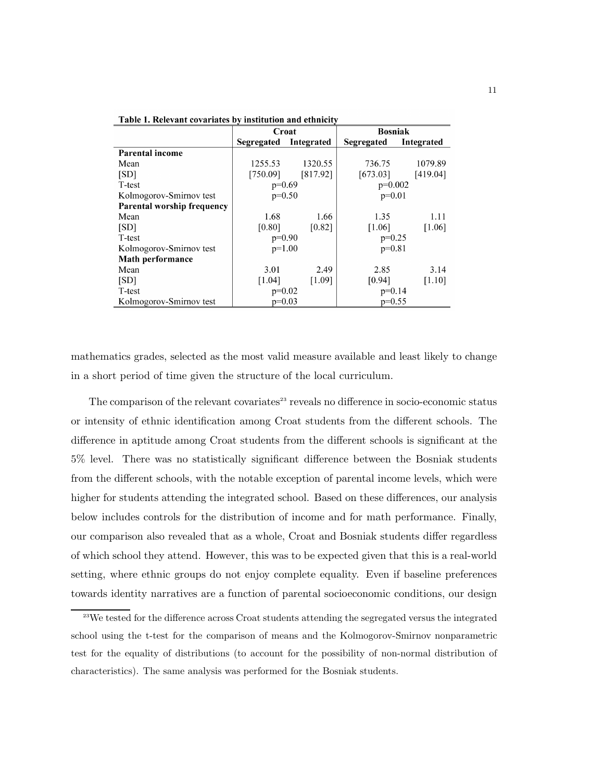Table 1. Relevant covariates by institution and ethnicity

|                            | Croat      |            | <b>Bosniak</b> |            |
|----------------------------|------------|------------|----------------|------------|
|                            | Segregated | Integrated | Segregated     | Integrated |
| <b>Parental income</b>     |            |            |                |            |
| Mean                       | 1255.53    | 1320.55    | 736.75         | 1079.89    |
| [SD]                       | [750.09]   | [817.92]   | [673.03]       | [419.04]   |
| T-test                     | $p=0.69$   |            | $p=0.002$      |            |
| Kolmogorov-Smirnov test    | $p=0.50$   |            | $p=0.01$       |            |
| Parental worship frequency |            |            |                |            |
| Mean                       | 1.68       | 1.66       | 1.35           | 1.11       |
| [SD]                       | [0.80]     | [0.82]     | [1.06]         | [1.06]     |
| T-test                     | $p=0.90$   |            | $p=0.25$       |            |
| Kolmogorov-Smirnov test    | $p=1.00$   |            | $p=0.81$       |            |
| <b>Math performance</b>    |            |            |                |            |
| Mean                       | 3.01       | 2.49       | 2.85           | 3.14       |
| [SD]                       | [1.04]     | [1.09]     | [0.94]         | [1.10]     |
| T-test                     | $p=0.02$   |            | $p=0.14$       |            |
| Kolmogorov-Smirnov test    | $p=0.03$   |            | $p=0.55$       |            |

mathematics grades, selected as the most valid measure available and least likely to change in a short period of time given the structure of the local curriculum.

The comparison of the relevant covariates<sup>23</sup> reveals no difference in socio-economic status or intensity of ethnic identification among Croat students from the different schools. The difference in aptitude among Croat students from the different schools is significant at the 5% level. There was no statistically significant difference between the Bosniak students from the different schools, with the notable exception of parental income levels, which were higher for students attending the integrated school. Based on these differences, our analysis below includes controls for the distribution of income and for math performance. Finally, our comparison also revealed that as a whole, Croat and Bosniak students differ regardless of which school they attend. However, this was to be expected given that this is a real-world setting, where ethnic groups do not enjoy complete equality. Even if baseline preferences towards identity narratives are a function of parental socioeconomic conditions, our design

<sup>&</sup>lt;sup>23</sup>We tested for the difference across Croat students attending the segregated versus the integrated school using the t-test for the comparison of means and the Kolmogorov-Smirnov nonparametric test for the equality of distributions (to account for the possibility of non-normal distribution of characteristics). The same analysis was performed for the Bosniak students.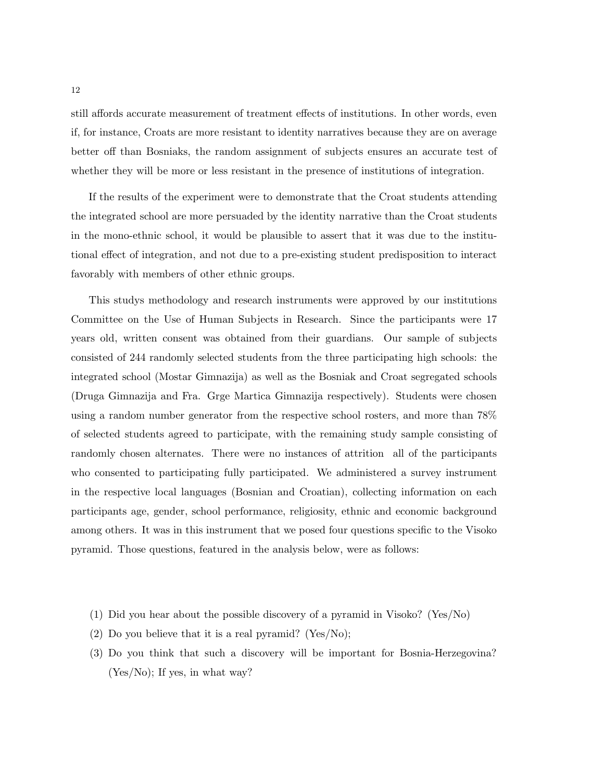still affords accurate measurement of treatment effects of institutions. In other words, even if, for instance, Croats are more resistant to identity narratives because they are on average better off than Bosniaks, the random assignment of subjects ensures an accurate test of whether they will be more or less resistant in the presence of institutions of integration.

If the results of the experiment were to demonstrate that the Croat students attending the integrated school are more persuaded by the identity narrative than the Croat students in the mono-ethnic school, it would be plausible to assert that it was due to the institutional effect of integration, and not due to a pre-existing student predisposition to interact favorably with members of other ethnic groups.

This studys methodology and research instruments were approved by our institutions Committee on the Use of Human Subjects in Research. Since the participants were 17 years old, written consent was obtained from their guardians. Our sample of subjects consisted of 244 randomly selected students from the three participating high schools: the integrated school (Mostar Gimnazija) as well as the Bosniak and Croat segregated schools (Druga Gimnazija and Fra. Grge Martica Gimnazija respectively). Students were chosen using a random number generator from the respective school rosters, and more than 78% of selected students agreed to participate, with the remaining study sample consisting of randomly chosen alternates. There were no instances of attrition all of the participants who consented to participating fully participated. We administered a survey instrument in the respective local languages (Bosnian and Croatian), collecting information on each participants age, gender, school performance, religiosity, ethnic and economic background among others. It was in this instrument that we posed four questions specific to the Visoko pyramid. Those questions, featured in the analysis below, were as follows:

- (1) Did you hear about the possible discovery of a pyramid in Visoko? (Yes/No)
- (2) Do you believe that it is a real pyramid? (Yes/No);
- (3) Do you think that such a discovery will be important for Bosnia-Herzegovina? (Yes/No); If yes, in what way?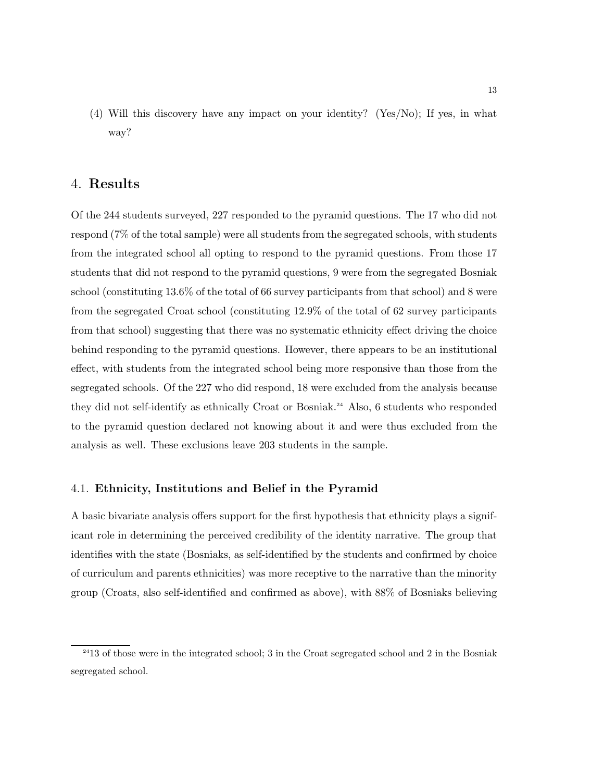(4) Will this discovery have any impact on your identity? (Yes/No); If yes, in what way?

## 4. Results

Of the 244 students surveyed, 227 responded to the pyramid questions. The 17 who did not respond (7% of the total sample) were all students from the segregated schools, with students from the integrated school all opting to respond to the pyramid questions. From those 17 students that did not respond to the pyramid questions, 9 were from the segregated Bosniak school (constituting 13.6% of the total of 66 survey participants from that school) and 8 were from the segregated Croat school (constituting 12.9% of the total of 62 survey participants from that school) suggesting that there was no systematic ethnicity effect driving the choice behind responding to the pyramid questions. However, there appears to be an institutional effect, with students from the integrated school being more responsive than those from the segregated schools. Of the 227 who did respond, 18 were excluded from the analysis because they did not self-identify as ethnically Croat or Bosniak.<sup>24</sup> Also, 6 students who responded to the pyramid question declared not knowing about it and were thus excluded from the analysis as well. These exclusions leave 203 students in the sample.

## 4.1. Ethnicity, Institutions and Belief in the Pyramid

A basic bivariate analysis offers support for the first hypothesis that ethnicity plays a significant role in determining the perceived credibility of the identity narrative. The group that identifies with the state (Bosniaks, as self-identified by the students and confirmed by choice of curriculum and parents ethnicities) was more receptive to the narrative than the minority group (Croats, also self-identified and confirmed as above), with 88% of Bosniaks believing

<sup>&</sup>lt;sup>24</sup>13 of those were in the integrated school; 3 in the Croat segregated school and 2 in the Bosniak segregated school.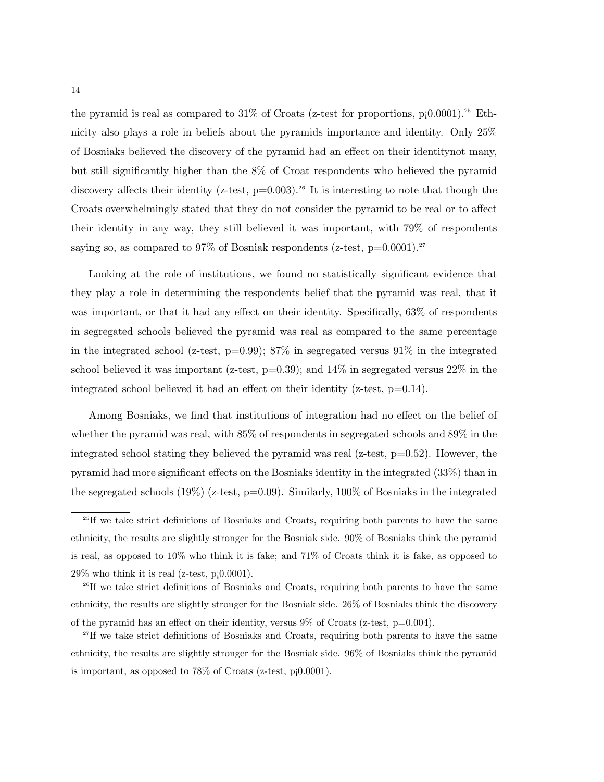the pyramid is real as compared to  $31\%$  of Croats (z-test for proportions, p;0.0001).<sup>25</sup> Ethnicity also plays a role in beliefs about the pyramids importance and identity. Only 25% of Bosniaks believed the discovery of the pyramid had an effect on their identitynot many, but still significantly higher than the 8% of Croat respondents who believed the pyramid discovery affects their identity (z-test,  $p=0.003$ ).<sup>26</sup> It is interesting to note that though the Croats overwhelmingly stated that they do not consider the pyramid to be real or to affect their identity in any way, they still believed it was important, with 79% of respondents saying so, as compared to 97% of Bosniak respondents (z-test,  $p=0.0001$ ).<sup>27</sup>

Looking at the role of institutions, we found no statistically significant evidence that they play a role in determining the respondents belief that the pyramid was real, that it was important, or that it had any effect on their identity. Specifically, 63% of respondents in segregated schools believed the pyramid was real as compared to the same percentage in the integrated school (z-test,  $p=0.99$ ); 87% in segregated versus 91% in the integrated school believed it was important (z-test,  $p=0.39$ ); and  $14\%$  in segregated versus  $22\%$  in the integrated school believed it had an effect on their identity (z-test,  $p=0.14$ ).

Among Bosniaks, we find that institutions of integration had no effect on the belief of whether the pyramid was real, with 85% of respondents in segregated schools and 89% in the integrated school stating they believed the pyramid was real (z-test,  $p=0.52$ ). However, the pyramid had more significant effects on the Bosniaks identity in the integrated (33%) than in the segregated schools  $(19\%)$  (z-test, p=0.09). Similarly, 100% of Bosniaks in the integrated

<sup>26</sup>If we take strict definitions of Bosniaks and Croats, requiring both parents to have the same ethnicity, the results are slightly stronger for the Bosniak side. 26% of Bosniaks think the discovery of the pyramid has an effect on their identity, versus  $9\%$  of Croats (z-test, p=0.004).

<sup>&</sup>lt;sup>25</sup>If we take strict definitions of Bosniaks and Croats, requiring both parents to have the same ethnicity, the results are slightly stronger for the Bosniak side. 90% of Bosniaks think the pyramid is real, as opposed to  $10\%$  who think it is fake; and  $71\%$  of Croats think it is fake, as opposed to  $29\%$  who think it is real (z-test, p;0.0001).

<sup>27</sup>If we take strict definitions of Bosniaks and Croats, requiring both parents to have the same ethnicity, the results are slightly stronger for the Bosniak side. 96% of Bosniaks think the pyramid is important, as opposed to 78% of Croats (z-test, p¡0.0001).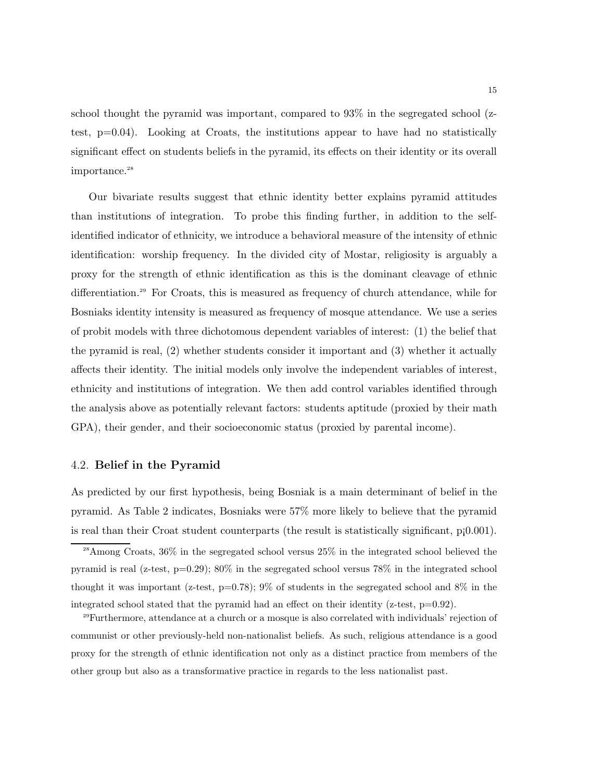school thought the pyramid was important, compared to 93% in the segregated school (ztest,  $p=0.04$ ). Looking at Croats, the institutions appear to have had no statistically significant effect on students beliefs in the pyramid, its effects on their identity or its overall importance.<sup>28</sup>

Our bivariate results suggest that ethnic identity better explains pyramid attitudes than institutions of integration. To probe this finding further, in addition to the selfidentified indicator of ethnicity, we introduce a behavioral measure of the intensity of ethnic identification: worship frequency. In the divided city of Mostar, religiosity is arguably a proxy for the strength of ethnic identification as this is the dominant cleavage of ethnic differentiation.<sup>29</sup> For Croats, this is measured as frequency of church attendance, while for Bosniaks identity intensity is measured as frequency of mosque attendance. We use a series of probit models with three dichotomous dependent variables of interest: (1) the belief that the pyramid is real, (2) whether students consider it important and (3) whether it actually affects their identity. The initial models only involve the independent variables of interest, ethnicity and institutions of integration. We then add control variables identified through the analysis above as potentially relevant factors: students aptitude (proxied by their math GPA), their gender, and their socioeconomic status (proxied by parental income).

#### 4.2. Belief in the Pyramid

As predicted by our first hypothesis, being Bosniak is a main determinant of belief in the pyramid. As Table 2 indicates, Bosniaks were 57% more likely to believe that the pyramid is real than their Croat student counterparts (the result is statistically significant, p¡0.001).

<sup>28</sup>Among Croats, 36% in the segregated school versus 25% in the integrated school believed the pyramid is real (z-test, p=0.29); 80% in the segregated school versus 78% in the integrated school thought it was important (z-test, p=0.78); 9% of students in the segregated school and 8% in the integrated school stated that the pyramid had an effect on their identity  $(z$ -test,  $p=0.92$ ).

<sup>29</sup>Furthermore, attendance at a church or a mosque is also correlated with individuals' rejection of communist or other previously-held non-nationalist beliefs. As such, religious attendance is a good proxy for the strength of ethnic identification not only as a distinct practice from members of the other group but also as a transformative practice in regards to the less nationalist past.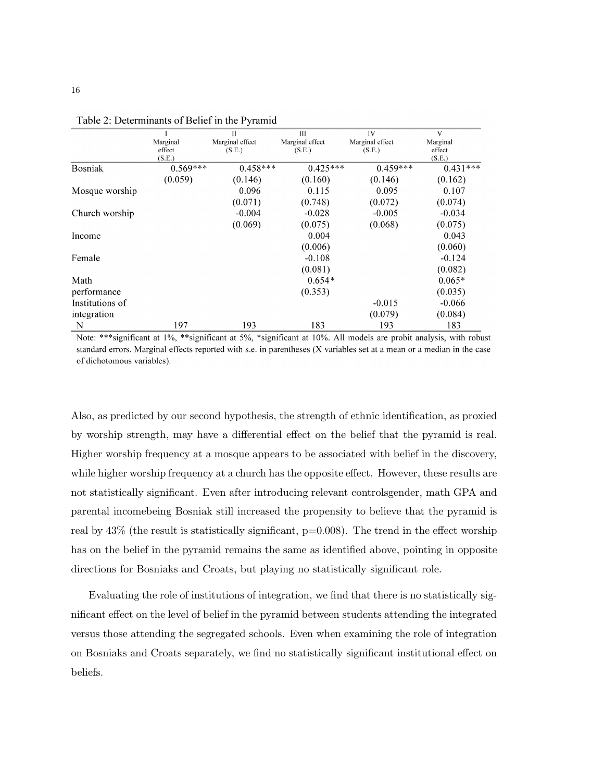|                 |            | Π               | Ш               | IV              | V          |
|-----------------|------------|-----------------|-----------------|-----------------|------------|
|                 | Marginal   | Marginal effect | Marginal effect | Marginal effect | Marginal   |
|                 | effect     | (S.E.)          | (S.E.)          | (S.E.)          | effect     |
|                 | (S.E.)     |                 |                 |                 | (S.E.)     |
| <b>Bosniak</b>  | $0.569***$ | $0.458***$      | $0.425***$      | $0.459***$      | $0.431***$ |
|                 | (0.059)    | (0.146)         | (0.160)         | (0.146)         | (0.162)    |
| Mosque worship  |            | 0.096           | 0.115           | 0.095           | 0.107      |
|                 |            | (0.071)         | (0.748)         | (0.072)         | (0.074)    |
| Church worship  |            | $-0.004$        | $-0.028$        | $-0.005$        | $-0.034$   |
|                 |            | (0.069)         | (0.075)         | (0.068)         | (0.075)    |
| Income          |            |                 | 0.004           |                 | 0.043      |
|                 |            |                 | (0.006)         |                 | (0.060)    |
| Female          |            |                 | $-0.108$        |                 | $-0.124$   |
|                 |            |                 | (0.081)         |                 | (0.082)    |
| Math            |            |                 | $0.654*$        |                 | $0.065*$   |
| performance     |            |                 | (0.353)         |                 | (0.035)    |
| Institutions of |            |                 |                 | $-0.015$        | $-0.066$   |
| integration     |            |                 |                 | (0.079)         | (0.084)    |
| N               | 197        | 193             | 183             | 193             | 183        |

Table 2: Determinants of Belief in the Pyramid

Note: \*\*\*significant at 1%, \*\*significant at 5%, \*significant at 10%. All models are probit analysis, with robust standard errors. Marginal effects reported with s.e. in parentheses (X variables set at a mean or a median in the case of dichotomous variables).

Also, as predicted by our second hypothesis, the strength of ethnic identification, as proxied by worship strength, may have a differential effect on the belief that the pyramid is real. Higher worship frequency at a mosque appears to be associated with belief in the discovery, while higher worship frequency at a church has the opposite effect. However, these results are not statistically significant. Even after introducing relevant controlsgender, math GPA and parental incomebeing Bosniak still increased the propensity to believe that the pyramid is real by  $43\%$  (the result is statistically significant,  $p=0.008$ ). The trend in the effect worship has on the belief in the pyramid remains the same as identified above, pointing in opposite directions for Bosniaks and Croats, but playing no statistically significant role.

Evaluating the role of institutions of integration, we find that there is no statistically significant effect on the level of belief in the pyramid between students attending the integrated versus those attending the segregated schools. Even when examining the role of integration on Bosniaks and Croats separately, we find no statistically significant institutional effect on beliefs.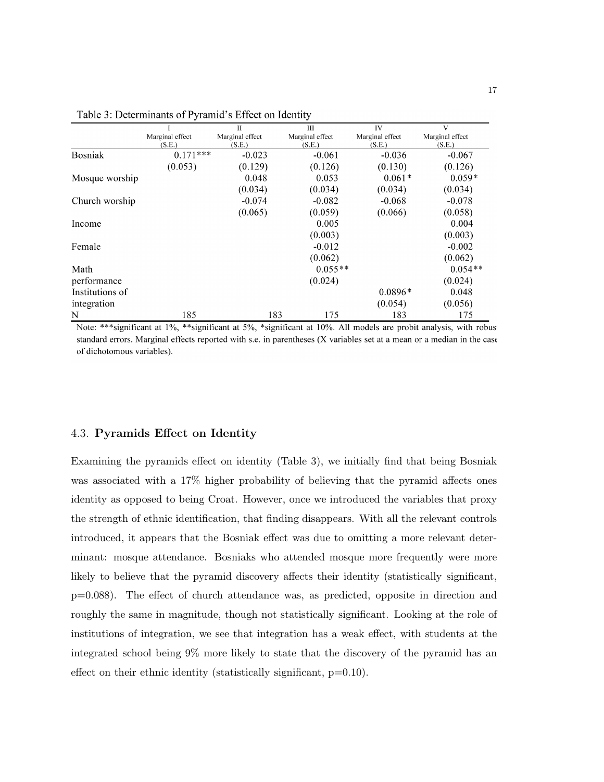|                 |                 | $\mathbf{H}$    | Ш               | IV              | V               |
|-----------------|-----------------|-----------------|-----------------|-----------------|-----------------|
|                 | Marginal effect | Marginal effect | Marginal effect | Marginal effect | Marginal effect |
|                 | (S.E.)          | (S.E.)          | (S.E.)          | (S.E.)          | (S.E.)          |
| <b>Bosniak</b>  | $0.171***$      | $-0.023$        | $-0.061$        | $-0.036$        | $-0.067$        |
|                 | (0.053)         | (0.129)         | (0.126)         | (0.130)         | (0.126)         |
| Mosque worship  |                 | 0.048           | 0.053           | $0.061*$        | $0.059*$        |
|                 |                 | (0.034)         | (0.034)         | (0.034)         | (0.034)         |
| Church worship  |                 | $-0.074$        | $-0.082$        | $-0.068$        | $-0.078$        |
|                 |                 | (0.065)         | (0.059)         | (0.066)         | (0.058)         |
| Income          |                 |                 | 0.005           |                 | 0.004           |
|                 |                 |                 | (0.003)         |                 | (0.003)         |
| Female          |                 |                 | $-0.012$        |                 | $-0.002$        |
|                 |                 |                 | (0.062)         |                 | (0.062)         |
| Math            |                 |                 | $0.055**$       |                 | $0.054**$       |
| performance     |                 |                 | (0.024)         |                 | (0.024)         |
| Institutions of |                 |                 |                 | $0.0896*$       | 0.048           |
| integration     |                 |                 |                 | (0.054)         | (0.056)         |
| N               | 185             | 183             | 175             | 183             | 175             |

Table 3: Determinants of Pyramid's Effect on Identity

Note: \*\*\* significant at 1%, \*\* significant at 5%, \*significant at 10%. All models are probit analysis, with robust standard errors. Marginal effects reported with s.e. in parentheses (X variables set at a mean or a median in the case of dichotomous variables).

## 4.3. Pyramids Effect on Identity

Examining the pyramids effect on identity (Table 3), we initially find that being Bosniak was associated with a 17% higher probability of believing that the pyramid affects ones identity as opposed to being Croat. However, once we introduced the variables that proxy the strength of ethnic identification, that finding disappears. With all the relevant controls introduced, it appears that the Bosniak effect was due to omitting a more relevant determinant: mosque attendance. Bosniaks who attended mosque more frequently were more likely to believe that the pyramid discovery affects their identity (statistically significant, p=0.088). The effect of church attendance was, as predicted, opposite in direction and roughly the same in magnitude, though not statistically significant. Looking at the role of institutions of integration, we see that integration has a weak effect, with students at the integrated school being 9% more likely to state that the discovery of the pyramid has an effect on their ethnic identity (statistically significant,  $p=0.10$ ).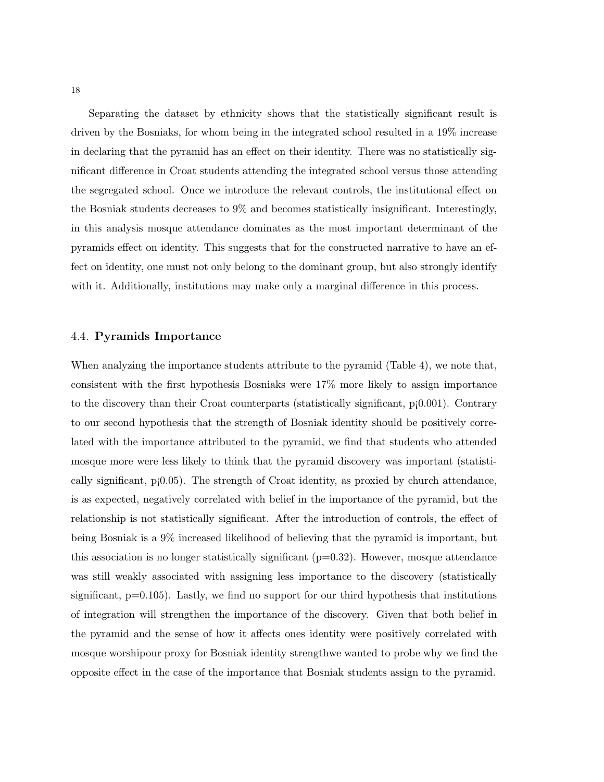Separating the dataset by ethnicity shows that the statistically significant result is driven by the Bosniaks, for whom being in the integrated school resulted in a 19% increase in declaring that the pyramid has an effect on their identity. There was no statistically significant difference in Croat students attending the integrated school versus those attending the segregated school. Once we introduce the relevant controls, the institutional effect on the Bosniak students decreases to 9% and becomes statistically insignificant. Interestingly, in this analysis mosque attendance dominates as the most important determinant of the pyramids effect on identity. This suggests that for the constructed narrative to have an effect on identity, one must not only belong to the dominant group, but also strongly identify with it. Additionally, institutions may make only a marginal difference in this process.

### 4.4. Pyramids Importance

When analyzing the importance students attribute to the pyramid (Table 4), we note that, consistent with the first hypothesis Bosniaks were 17% more likely to assign importance to the discovery than their Croat counterparts (statistically significant, p¡0.001). Contrary to our second hypothesis that the strength of Bosniak identity should be positively correlated with the importance attributed to the pyramid, we find that students who attended mosque more were less likely to think that the pyramid discovery was important (statistically significant, p¡0.05). The strength of Croat identity, as proxied by church attendance, is as expected, negatively correlated with belief in the importance of the pyramid, but the relationship is not statistically significant. After the introduction of controls, the effect of being Bosniak is a 9% increased likelihood of believing that the pyramid is important, but this association is no longer statistically significant  $(p=0.32)$ . However, mosque attendance was still weakly associated with assigning less importance to the discovery (statistically significant,  $p=0.105$ ). Lastly, we find no support for our third hypothesis that institutions of integration will strengthen the importance of the discovery. Given that both belief in the pyramid and the sense of how it affects ones identity were positively correlated with mosque worshipour proxy for Bosniak identity strengthwe wanted to probe why we find the opposite effect in the case of the importance that Bosniak students assign to the pyramid.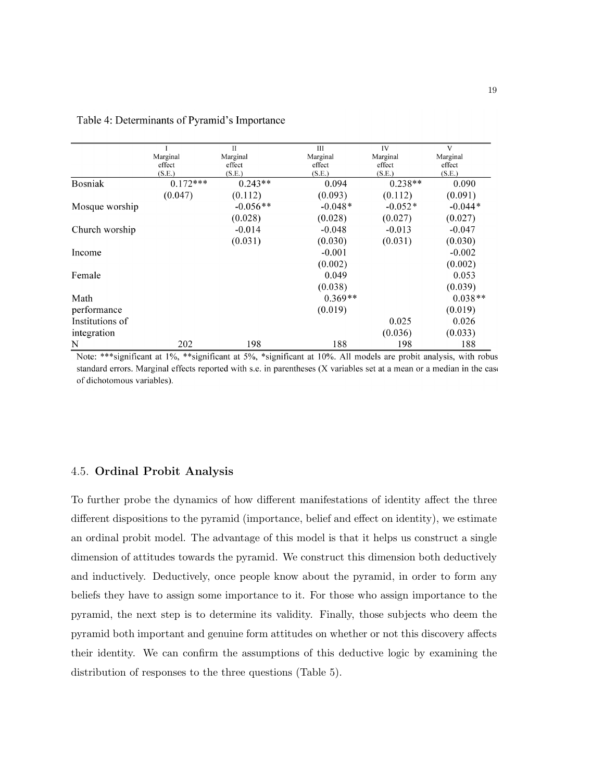|                 |            | Π          | IΠ        | <b>IV</b> | V         |
|-----------------|------------|------------|-----------|-----------|-----------|
|                 | Marginal   | Marginal   | Marginal  | Marginal  | Marginal  |
|                 | effect     | effect     | effect    | effect    | effect    |
|                 | (S.E.)     | (S.E.)     | (S.E.)    | (S.E.)    | (S.E.)    |
| <b>Bosniak</b>  | $0.172***$ | $0.243**$  | 0.094     | $0.238**$ | 0.090     |
|                 | (0.047)    | (0.112)    | (0.093)   | (0.112)   | (0.091)   |
| Mosque worship  |            | $-0.056**$ | $-0.048*$ | $-0.052*$ | $-0.044*$ |
|                 |            | (0.028)    | (0.028)   | (0.027)   | (0.027)   |
| Church worship  |            | $-0.014$   | $-0.048$  | $-0.013$  | $-0.047$  |
|                 |            | (0.031)    | (0.030)   | (0.031)   | (0.030)   |
| Income          |            |            | $-0.001$  |           | $-0.002$  |
|                 |            |            | (0.002)   |           | (0.002)   |
| Female          |            |            | 0.049     |           | 0.053     |
|                 |            |            | (0.038)   |           | (0.039)   |
| Math            |            |            | $0.369**$ |           | $0.038**$ |
| performance     |            |            | (0.019)   |           | (0.019)   |
| Institutions of |            |            |           | 0.025     | 0.026     |
| integration     |            |            |           | (0.036)   | (0.033)   |
| N               | 202        | 198        | 188       | 198       | 188       |

Table 4: Determinants of Pyramid's Importance

Note: \*\*\*significant at 1%, \*\*significant at 5%, \*significant at 10%. All models are probit analysis, with robus standard errors. Marginal effects reported with s.e. in parentheses (X variables set at a mean or a median in the case of dichotomous variables).

### 4.5. Ordinal Probit Analysis

To further probe the dynamics of how different manifestations of identity affect the three different dispositions to the pyramid (importance, belief and effect on identity), we estimate an ordinal probit model. The advantage of this model is that it helps us construct a single dimension of attitudes towards the pyramid. We construct this dimension both deductively and inductively. Deductively, once people know about the pyramid, in order to form any beliefs they have to assign some importance to it. For those who assign importance to the pyramid, the next step is to determine its validity. Finally, those subjects who deem the pyramid both important and genuine form attitudes on whether or not this discovery affects their identity. We can confirm the assumptions of this deductive logic by examining the distribution of responses to the three questions (Table 5).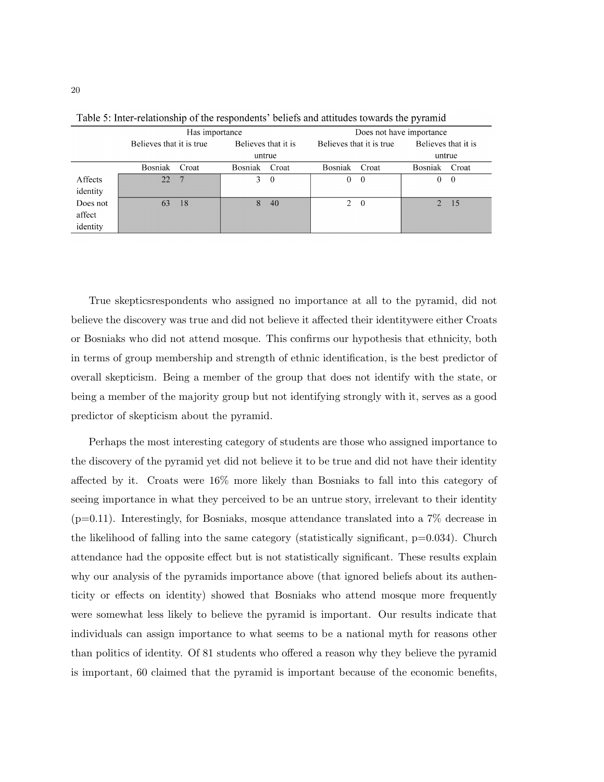|          | Has importance           |            |                     |                | Does not have importance |                |                     |          |
|----------|--------------------------|------------|---------------------|----------------|--------------------------|----------------|---------------------|----------|
|          | Believes that it is true |            | Believes that it is |                | Believes that it is true |                | Believes that it is |          |
|          | untrue                   |            |                     |                |                          |                | untrue              |          |
|          | Bosniak                  | Croat      | Bosniak             | Croat          | Bosniak                  | Croat          | Bosniak             | Croat    |
| Affects  | 22                       | $\sqrt{7}$ | 3                   | $\overline{0}$ | $\theta$                 | $\theta$       | 0                   | $\theta$ |
| identity |                          |            |                     |                |                          |                |                     |          |
| Does not | 63                       | 18         | 8                   | 40             | 2                        | $\overline{0}$ | $2^{\circ}$         | -15      |
| affect   |                          |            |                     |                |                          |                |                     |          |
| identity |                          |            |                     |                |                          |                |                     |          |

Table 5: Inter-relationship of the respondents' beliefs and attitudes towards the pyramid

True skepticsrespondents who assigned no importance at all to the pyramid, did not believe the discovery was true and did not believe it affected their identitywere either Croats or Bosniaks who did not attend mosque. This confirms our hypothesis that ethnicity, both in terms of group membership and strength of ethnic identification, is the best predictor of overall skepticism. Being a member of the group that does not identify with the state, or being a member of the majority group but not identifying strongly with it, serves as a good predictor of skepticism about the pyramid.

Perhaps the most interesting category of students are those who assigned importance to the discovery of the pyramid yet did not believe it to be true and did not have their identity affected by it. Croats were 16% more likely than Bosniaks to fall into this category of seeing importance in what they perceived to be an untrue story, irrelevant to their identity  $(p=0.11)$ . Interestingly, for Bosniaks, mosque attendance translated into a 7% decrease in the likelihood of falling into the same category (statistically significant, p=0.034). Church attendance had the opposite effect but is not statistically significant. These results explain why our analysis of the pyramids importance above (that ignored beliefs about its authenticity or effects on identity) showed that Bosniaks who attend mosque more frequently were somewhat less likely to believe the pyramid is important. Our results indicate that individuals can assign importance to what seems to be a national myth for reasons other than politics of identity. Of 81 students who offered a reason why they believe the pyramid is important, 60 claimed that the pyramid is important because of the economic benefits,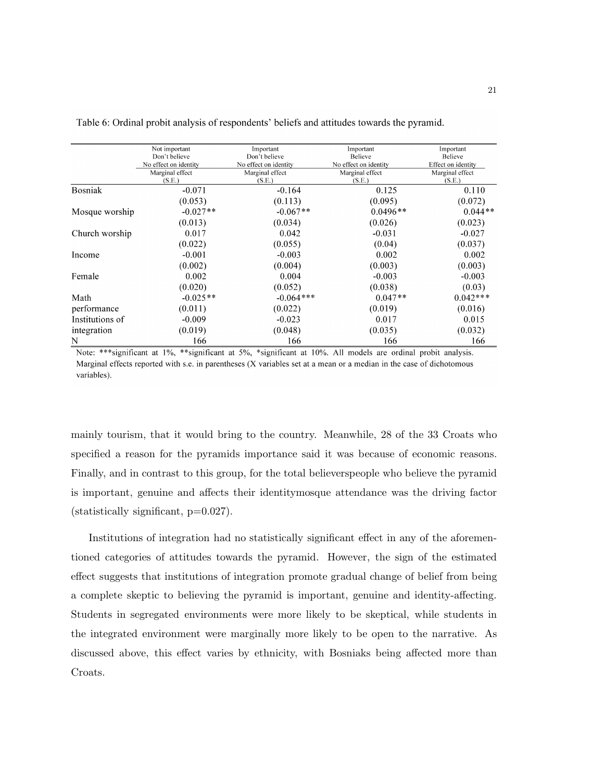|                 | Not important         | Important             | Important             | Important          |
|-----------------|-----------------------|-----------------------|-----------------------|--------------------|
|                 | Don't believe         | Don't believe         | Believe               | <b>Believe</b>     |
|                 | No effect on identity | No effect on identity | No effect on identity | Effect on identity |
|                 | Marginal effect       | Marginal effect       | Marginal effect       | Marginal effect    |
|                 | (S.E.)                | (S.E.)                | (S.E.)                | (S.E.)             |
| <b>Bosniak</b>  | $-0.071$              | $-0.164$              | 0.125                 | 0.110              |
|                 | (0.053)               | (0.113)               | (0.095)               | (0.072)            |
| Mosque worship  | $-0.027**$            | $-0.067**$            | $0.0496**$            | $0.044**$          |
|                 | (0.013)               | (0.034)               | (0.026)               | (0.023)            |
| Church worship  | 0.017                 | 0.042                 | $-0.031$              | $-0.027$           |
|                 | (0.022)               | (0.055)               | (0.04)                | (0.037)            |
| Income          | $-0.001$              | $-0.003$              | 0.002                 | 0.002              |
|                 | (0.002)               | (0.004)               | (0.003)               | (0.003)            |
| Female          | 0.002                 | 0.004                 | $-0.003$              | $-0.003$           |
|                 | (0.020)               | (0.052)               | (0.038)               | (0.03)             |
| Math            | $-0.025**$            | $-0.064***$           | $0.047**$             | $0.042***$         |
| performance     | (0.011)               | (0.022)               | (0.019)               | (0.016)            |
| Institutions of | $-0.009$              | $-0.023$              | 0.017                 | 0.015              |
| integration     | (0.019)               | (0.048)               | (0.035)               | (0.032)            |
| N               | 166                   | 166                   | 166                   | 166                |

Table 6: Ordinal probit analysis of respondents' beliefs and attitudes towards the pyramid.

Note: \*\*\*significant at 1%, \*\*significant at 5%, \*significant at 10%. All models are ordinal probit analysis. Marginal effects reported with s.e. in parentheses (X variables set at a mean or a median in the case of dichotomous variables).

mainly tourism, that it would bring to the country. Meanwhile, 28 of the 33 Croats who specified a reason for the pyramids importance said it was because of economic reasons. Finally, and in contrast to this group, for the total believerspeople who believe the pyramid is important, genuine and affects their identitymosque attendance was the driving factor (statistically significant, p=0.027).

Institutions of integration had no statistically significant effect in any of the aforementioned categories of attitudes towards the pyramid. However, the sign of the estimated effect suggests that institutions of integration promote gradual change of belief from being a complete skeptic to believing the pyramid is important, genuine and identity-affecting. Students in segregated environments were more likely to be skeptical, while students in the integrated environment were marginally more likely to be open to the narrative. As discussed above, this effect varies by ethnicity, with Bosniaks being affected more than Croats.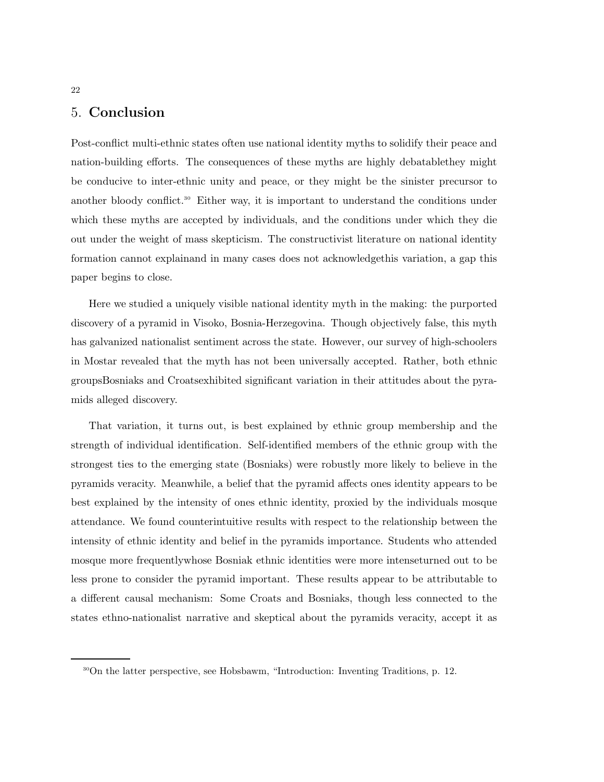# 5. Conclusion

Post-conflict multi-ethnic states often use national identity myths to solidify their peace and nation-building efforts. The consequences of these myths are highly debatablethey might be conducive to inter-ethnic unity and peace, or they might be the sinister precursor to another bloody conflict.<sup>30</sup> Either way, it is important to understand the conditions under which these myths are accepted by individuals, and the conditions under which they die out under the weight of mass skepticism. The constructivist literature on national identity formation cannot explainand in many cases does not acknowledgethis variation, a gap this paper begins to close.

Here we studied a uniquely visible national identity myth in the making: the purported discovery of a pyramid in Visoko, Bosnia-Herzegovina. Though objectively false, this myth has galvanized nationalist sentiment across the state. However, our survey of high-schoolers in Mostar revealed that the myth has not been universally accepted. Rather, both ethnic groupsBosniaks and Croatsexhibited significant variation in their attitudes about the pyramids alleged discovery.

That variation, it turns out, is best explained by ethnic group membership and the strength of individual identification. Self-identified members of the ethnic group with the strongest ties to the emerging state (Bosniaks) were robustly more likely to believe in the pyramids veracity. Meanwhile, a belief that the pyramid affects ones identity appears to be best explained by the intensity of ones ethnic identity, proxied by the individuals mosque attendance. We found counterintuitive results with respect to the relationship between the intensity of ethnic identity and belief in the pyramids importance. Students who attended mosque more frequentlywhose Bosniak ethnic identities were more intenseturned out to be less prone to consider the pyramid important. These results appear to be attributable to a different causal mechanism: Some Croats and Bosniaks, though less connected to the states ethno-nationalist narrative and skeptical about the pyramids veracity, accept it as

#### 22

<sup>30</sup>On the latter perspective, see Hobsbawm, "Introduction: Inventing Traditions, p. 12.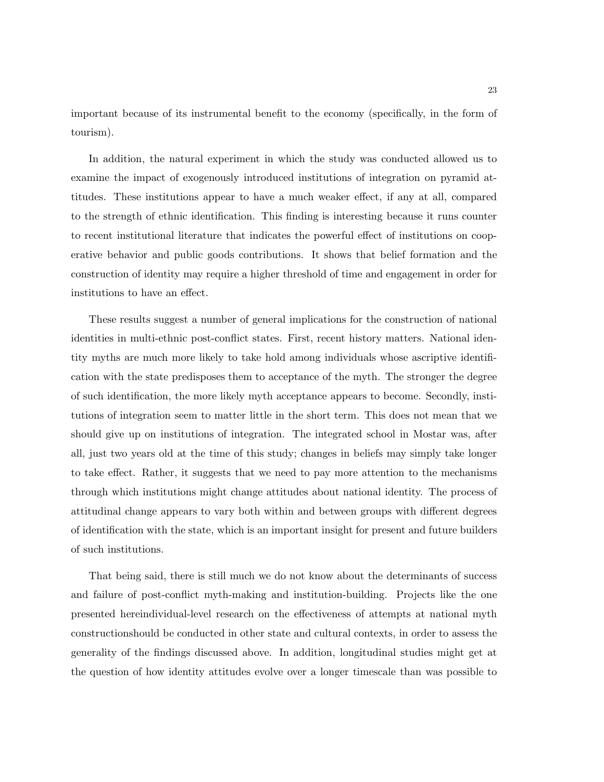important because of its instrumental benefit to the economy (specifically, in the form of tourism).

In addition, the natural experiment in which the study was conducted allowed us to examine the impact of exogenously introduced institutions of integration on pyramid attitudes. These institutions appear to have a much weaker effect, if any at all, compared to the strength of ethnic identification. This finding is interesting because it runs counter to recent institutional literature that indicates the powerful effect of institutions on cooperative behavior and public goods contributions. It shows that belief formation and the construction of identity may require a higher threshold of time and engagement in order for institutions to have an effect.

These results suggest a number of general implications for the construction of national identities in multi-ethnic post-conflict states. First, recent history matters. National identity myths are much more likely to take hold among individuals whose ascriptive identification with the state predisposes them to acceptance of the myth. The stronger the degree of such identification, the more likely myth acceptance appears to become. Secondly, institutions of integration seem to matter little in the short term. This does not mean that we should give up on institutions of integration. The integrated school in Mostar was, after all, just two years old at the time of this study; changes in beliefs may simply take longer to take effect. Rather, it suggests that we need to pay more attention to the mechanisms through which institutions might change attitudes about national identity. The process of attitudinal change appears to vary both within and between groups with different degrees of identification with the state, which is an important insight for present and future builders of such institutions.

That being said, there is still much we do not know about the determinants of success and failure of post-conflict myth-making and institution-building. Projects like the one presented hereindividual-level research on the effectiveness of attempts at national myth constructionshould be conducted in other state and cultural contexts, in order to assess the generality of the findings discussed above. In addition, longitudinal studies might get at the question of how identity attitudes evolve over a longer timescale than was possible to